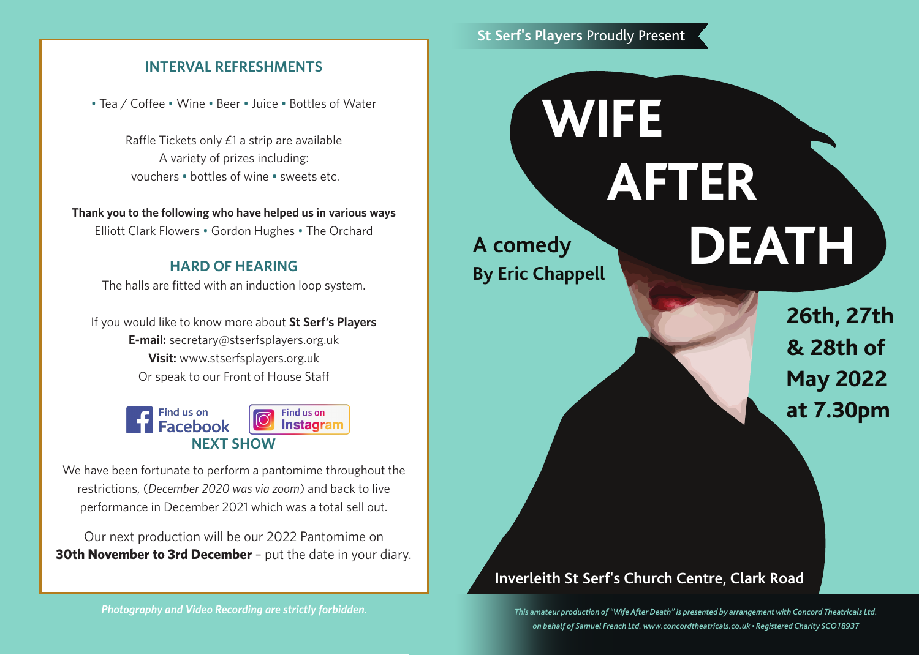# **INTERVAL REFRESHMENTS**

• Tea / Coffee • Wine • Beer • Juice • Bottles of Water

Raffle Tickets only £1 a strip are available A variety of prizes including: vouchers • bottles of wine • sweets etc.

**Thank you to the following who have helped us in various ways** Elliott Clark Flowers • Gordon Hughes • The Orchard

# **HARD OF HEARING**

The halls are fitted with an induction loop system.

If you would like to know more about **St Serf's Players E-mail:** secretary@stserfsplayers.org.uk **Visit:** www.stserfsplayers.org.uk Or speak to our Front of House Staff



We have been fortunate to perform a pantomime throughout the restrictions, (*December 2020 was via zoom*) and back to live performance in December 2021 which was a total sell out.

Our next production will be our 2022 Pantomime on **30th November to 3rd December** - put the date in your diary.

#### *Photography and Video Recording are strictly forbidden.*

# **St Serf's Players** Proudly Present

# **A comedy By Eric Chappell WIFE AFTER DEATH**

**26th, 27th & 28th of May 2022 at 7.30pm**

# **Inverleith St Serf's Church Centre, Clark Road**

*This amateur production of "Wife After Death" is presented by arrangement with Concord Theatricals Ltd. on behalf of Samuel French Ltd. www.concordtheatricals.co.uk • Registered Charity SCO18937*